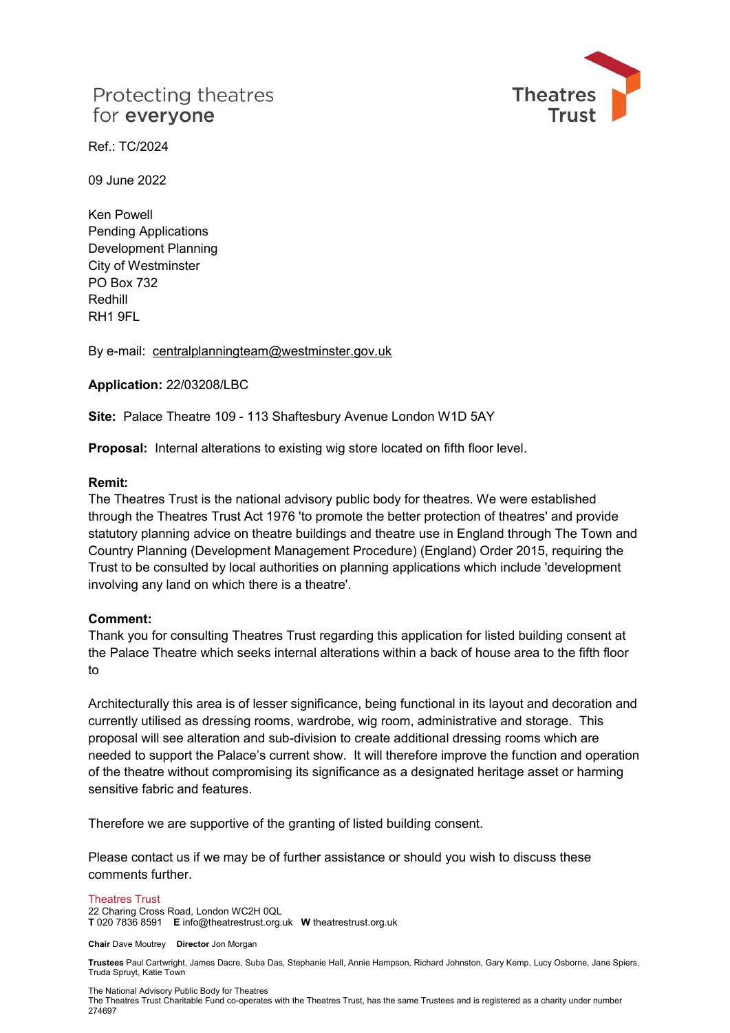## Protecting theatres for everyone



Ref.: TC/2024

09 June 2022

Ken Powell Pending Applications Development Planning City of Westminster PO Box 732 Redhill RH1 9FL

By e-mail: [centralplanningteam@westminster.gov.uk](mailto:centralplanningteam@westminster.gov.uk)

**Application:** 22/03208/LBC

**Site:** Palace Theatre 109 - 113 Shaftesbury Avenue London W1D 5AY

**Proposal:** Internal alterations to existing wig store located on fifth floor level.

## **Remit:**

The Theatres Trust is the national advisory public body for theatres. We were established through the Theatres Trust Act 1976 'to promote the better protection of theatres' and provide statutory planning advice on theatre buildings and theatre use in England through The Town and Country Planning (Development Management Procedure) (England) Order 2015, requiring the Trust to be consulted by local authorities on planning applications which include 'development involving any land on which there is a theatre'.

## **Comment:**

Thank you for consulting Theatres Trust regarding this application for listed building consent at the Palace Theatre which seeks internal alterations within a back of house area to the fifth floor to

Architecturally this area is of lesser significance, being functional in its layout and decoration and currently utilised as dressing rooms, wardrobe, wig room, administrative and storage. This proposal will see alteration and sub-division to create additional dressing rooms which are needed to support the Palace's current show. It will therefore improve the function and operation of the theatre without compromising its significance as a designated heritage asset or harming sensitive fabric and features.

Therefore we are supportive of the granting of listed building consent.

Please contact us if we may be of further assistance or should you wish to discuss these comments further.

## Theatres Trust

22 Charing Cross Road, London WC2H 0QL **T** 020 7836 8591 **E** info@theatrestrust.org.uk **W** theatrestrust.org.uk

**Chair** Dave Moutrey **Director** Jon Morgan

**Trustees** Paul Cartwright, James Dacre, Suba Das, Stephanie Hall, Annie Hampson, Richard Johnston, Gary Kemp, Lucy Osborne, Jane Spiers, Truda Spruyt, Katie Town

The National Advisory Public Body for Theatres

The Theatres Trust Charitable Fund co-operates with the Theatres Trust, has the same Trustees and is registered as a charity under number 274697